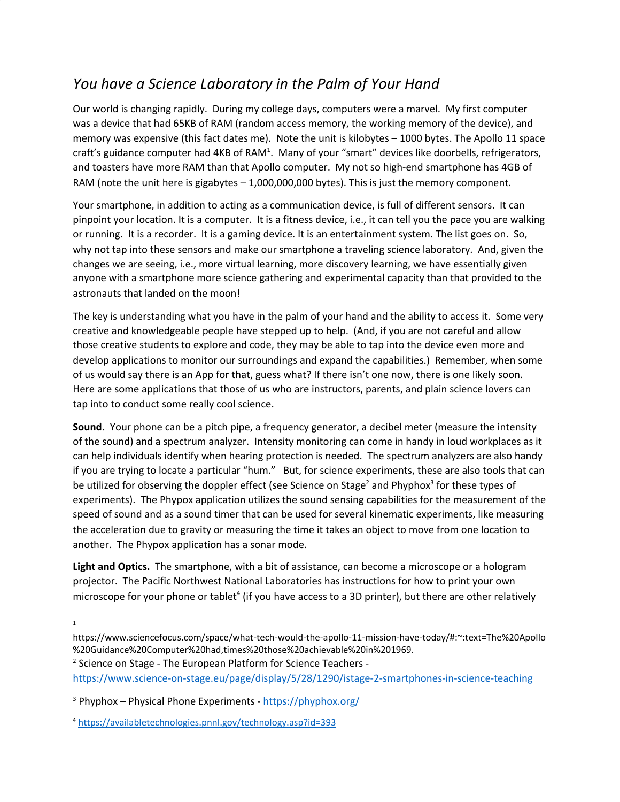## *You have a Science Laboratory in the Palm of Your Hand*

Our world is changing rapidly. During my college days, computers were a marvel. My first computer was a device that had 65KB of RAM (random access memory, the working memory of the device), and memory was expensive (this fact dates me). Note the unit is kilobytes – 1000 bytes. The Apollo 11 space craft's guidance computer had 4KB of RAM<sup>1</sup>. Many of your "smart" devices like doorbells, refrigerators, and toasters have more RAM than that Apollo computer. My not so high-end smartphone has 4GB of RAM (note the unit here is gigabytes – 1,000,000,000 bytes). This is just the memory component.

Your smartphone, in addition to acting as a communication device, is full of different sensors. It can pinpoint your location. It is a computer. It is a fitness device, i.e., it can tell you the pace you are walking or running. It is a recorder. It is a gaming device. It is an entertainment system. The list goes on. So, why not tap into these sensors and make our smartphone a traveling science laboratory. And, given the changes we are seeing, i.e., more virtual learning, more discovery learning, we have essentially given anyone with a smartphone more science gathering and experimental capacity than that provided to the astronauts that landed on the moon!

The key is understanding what you have in the palm of your hand and the ability to access it. Some very creative and knowledgeable people have stepped up to help. (And, if you are not careful and allow those creative students to explore and code, they may be able to tap into the device even more and develop applications to monitor our surroundings and expand the capabilities.) Remember, when some of us would say there is an App for that, guess what? If there isn't one now, there is one likely soon. Here are some applications that those of us who are instructors, parents, and plain science lovers can tap into to conduct some really cool science.

**Sound.** Your phone can be a pitch pipe, a frequency generator, a decibel meter (measure the intensity of the sound) and a spectrum analyzer. Intensity monitoring can come in handy in loud workplaces as it can help individuals identify when hearing protection is needed. The spectrum analyzers are also handy if you are trying to locate a particular "hum." But, for science experiments, these are also tools that can be utilized for observing the doppler effect (see Science on Stage<sup>2</sup> and Phyphox<sup>3</sup> for these types of experiments). The Phypox application utilizes the sound sensing capabilities for the measurement of the speed of sound and as a sound timer that can be used for several kinematic experiments, like measuring the acceleration due to gravity or measuring the time it takes an object to move from one location to another. The Phypox application has a sonar mode.

**Light and Optics.** The smartphone, with a bit of assistance, can become a microscope or a hologram projector. The Pacific Northwest National Laboratories has instructions for how to print your own microscope for your phone or tablet<sup>4</sup> (if you have access to a 3D printer), but there are other relatively

1

<sup>2</sup> Science on Stage - The European Platform for Science Teachers -

<https://www.science-on-stage.eu/page/display/5/28/1290/istage-2-smartphones-in-science-teaching>

<sup>4</sup> <https://availabletechnologies.pnnl.gov/technology.asp?id=393>

https://www.sciencefocus.com/space/what-tech-would-the-apollo-11-mission-have-today/#:~:text=The%20Apollo %20Guidance%20Computer%20had,times%20those%20achievable%20in%201969.

<sup>&</sup>lt;sup>3</sup> Phyphox – Physical Phone Experiments - <https://phyphox.org/>